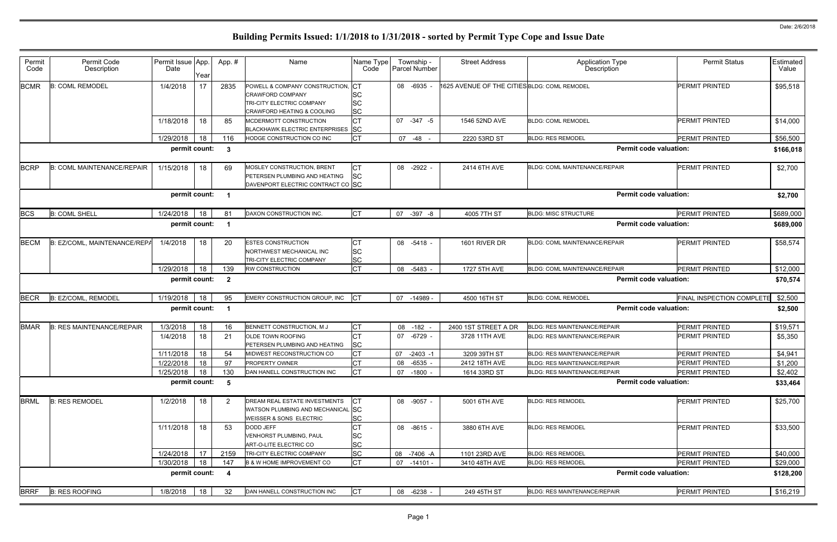| ype<br>n                      | <b>Permit Status</b>      | Estimated<br>Value |
|-------------------------------|---------------------------|--------------------|
|                               | PERMIT PRINTED            | \$95,518           |
|                               | PERMIT PRINTED            | \$14,000           |
|                               | PERMIT PRINTED            | \$56,500           |
| <b>Permit code valuation:</b> |                           | \$166,018          |
| AIR                           | PERMIT PRINTED            | \$2,700            |
| <b>Permit code valuation:</b> |                           | \$2,700            |
|                               | PERMIT PRINTED            | \$689,000          |
| <b>Permit code valuation:</b> |                           | \$689,000          |
| AIR                           | PERMIT PRINTED            | \$58,574           |
| AIR                           | PERMIT PRINTED            | \$12,000           |
| <b>Permit code valuation:</b> |                           | \$70,574           |
|                               | FINAL INSPECTION COMPLETE | \$2,500            |
| <b>Permit code valuation:</b> |                           | \$2,500            |
| R                             | PERMIT PRINTED            | <u>\$19,571</u>    |
| R                             | PERMIT PRINTED            | \$5,350            |
| R                             | PERMIT PRINTED            | \$4,941            |
| R                             | PERMIT PRINTED            | \$1,200            |
| R                             | PERMIT PRINTED            | \$2,402            |
| <b>Permit code valuation:</b> |                           | \$33,464           |
|                               | PERMIT PRINTED            | \$25,700           |
|                               | <b>PERMIT PRINTED</b>     | \$33,500           |
|                               | PERMIT PRINTED            | \$40,000           |
|                               | PERMIT PRINTED            | \$29,000           |
| <b>Permit code valuation:</b> |                           | \$128,200          |
| R                             | PERMIT PRINTED            | \$16,219           |
|                               |                           |                    |

| Permit<br>Code | Permit Code<br>Description        | Permit Issue App.<br>Date | Year | App.#          | Name                                                                                                                           | Name Type<br>Code                         | Township -<br><b>Parcel Number</b> | <b>Street Address</b>                        | <b>Application Type</b><br>Description | <b>Permit Status</b>             | Estimated<br>Value |
|----------------|-----------------------------------|---------------------------|------|----------------|--------------------------------------------------------------------------------------------------------------------------------|-------------------------------------------|------------------------------------|----------------------------------------------|----------------------------------------|----------------------------------|--------------------|
| <b>BCMR</b>    | <b>B: COML REMODEL</b>            | 1/4/2018                  | 17   | 2835           | POWELL & COMPANY CONSTRUCTION<br><b>CRAWFORD COMPANY</b><br>TRI-CITY ELECTRIC COMPANY<br><b>CRAWFORD HEATING &amp; COOLING</b> | CT<br><b>SC</b><br><b>SC</b><br><b>SC</b> | 08 -6935                           | 1625 AVENUE OF THE CITIES BLDG: COML REMODEL |                                        | <b>PERMIT PRINTED</b>            | \$95,518           |
|                |                                   | 1/18/2018                 | 18   | 85             | MCDERMOTT CONSTRUCTION<br>BLACKHAWK ELECTRIC ENTERPRISES SC                                                                    | <b>CT</b>                                 | 07 -347 -5                         | 1546 52ND AVE                                | <b>BLDG: COML REMODEL</b>              | PERMIT PRINTED                   | \$14,000           |
|                |                                   | 1/29/2018                 | 18   | 116            | HODGE CONSTRUCTION CO INC                                                                                                      | <b>CT</b>                                 | 07 -48 -                           | 2220 53RD ST                                 | <b>BLDG: RES REMODEL</b>               | PERMIT PRINTED                   | \$56,500           |
|                |                                   | permit count:             |      | - 3            |                                                                                                                                |                                           |                                    |                                              |                                        | <b>Permit code valuation:</b>    | \$166,018          |
| <b>BCRP</b>    | <b>B: COML MAINTENANCE/REPAIR</b> | 1/15/2018                 | 18   | 69             | MOSLEY CONSTRUCTION, BRENT<br>PETERSEN PLUMBING AND HEATING<br>DAVENPORT ELECTRIC CONTRACT CO SC                               | CT<br><b>SC</b>                           | 08 -2922 -                         | 2414 6TH AVE                                 | <b>BLDG: COML MAINTENANCE/REPAIR</b>   | <b>PERMIT PRINTED</b>            | \$2,700            |
|                |                                   | permit count:             |      | - 1            |                                                                                                                                |                                           |                                    |                                              |                                        | Permit code valuation:           | \$2,700            |
| <b>BCS</b>     | <b>B: COML SHELL</b>              | 1/24/2018                 | 18   | 81             | DAXON CONSTRUCTION INC.                                                                                                        | <b>CT</b>                                 | 07<br>$-397 - 8$                   | 4005 7TH ST                                  | <b>BLDG: MISC STRUCTURE</b>            | <b>PERMIT PRINTED</b>            | \$689,000          |
|                |                                   | permit count:             |      | - 1            |                                                                                                                                |                                           |                                    |                                              |                                        | <b>Permit code valuation:</b>    | \$689,000          |
| <b>BECM</b>    | B: EZ/COML, MAINTENANCE/REPA      | 1/4/2018                  | 18   | 20             | <b>ESTES CONSTRUCTION</b><br>NORTHWEST MECHANICAL INC<br>TRI-CITY ELECTRIC COMPANY                                             | СT<br><b>SC</b><br><b>SC</b>              | 08 -5418 -                         | 1601 RIVER DR                                | <b>BLDG: COML MAINTENANCE/REPAIR</b>   | <b>PERMIT PRINTED</b>            | \$58,574           |
|                |                                   | 1/29/2018                 | 18   | 139            | <b>RW CONSTRUCTION</b>                                                                                                         | <b>CT</b>                                 | 08<br>-5483 -                      | 1727 5TH AVE                                 | BLDG: COML MAINTENANCE/REPAIR          | PERMIT PRINTED                   | \$12,000           |
|                |                                   | permit count:             |      | $\overline{2}$ |                                                                                                                                |                                           |                                    |                                              |                                        | <b>Permit code valuation:</b>    | \$70,574           |
| <b>BECR</b>    | B: EZ/COML, REMODEL               | 1/19/2018                 | 18   | 95             | EMERY CONSTRUCTION GROUP, INC                                                                                                  | <b>ICT</b>                                | 07 -14989 -                        | 4500 16TH ST                                 | <b>BLDG: COML REMODEL</b>              | <b>FINAL INSPECTION COMPLETE</b> | \$2,500            |
|                |                                   | permit count:             |      |                |                                                                                                                                |                                           |                                    |                                              |                                        | <b>Permit code valuation:</b>    | \$2,500            |
| <b>BMAR</b>    | <b>B: RES MAINTENANCE/REPAIR</b>  | 1/3/2018                  | 18   | 16             | BENNETT CONSTRUCTION, M J                                                                                                      | СT                                        | 08<br>$-182 -$                     | 2400 1ST STREET A DR                         | <b>BLDG: RES MAINTENANCE/REPAIR</b>    | <b>PERMIT PRINTED</b>            | \$19,571           |
|                |                                   | 1/4/2018                  | 18   | 21             | OLDE TOWN ROOFING<br>PETERSEN PLUMBING AND HEATING                                                                             | <b>CT</b><br><b>SC</b>                    | 07 -6729 -                         | 3728 11TH AVE                                | <b>BLDG: RES MAINTENANCE/REPAIR</b>    | <b>PERMIT PRINTED</b>            | \$5,350            |
|                |                                   | 1/11/2018                 | 18   | 54             | MIDWEST RECONSTRUCTION CO                                                                                                      | СT                                        | 07<br>-2403 -1                     | 3209 39TH ST                                 | BLDG: RES MAINTENANCE/REPAIR           | <b>PERMIT PRINTED</b>            | \$4,941            |
|                |                                   | 1/22/2018 18              |      | 97             | PROPERTY OWNER                                                                                                                 | $\sim$<br>◡▯                              | 08 -6535 -                         | 2412 18TH AVE                                | <b>BLDG: RES MAINTENANCE/REPAIR</b>    | PERMIT PRINTED                   | \$1,200            |
|                |                                   | 1/25/2018                 | 18   | 130            | DAN HANELL CONSTRUCTION INC                                                                                                    | <b>CT</b>                                 | 07 -1800 -                         | 1614 33RD ST                                 | <b>BLDG: RES MAINTENANCE/REPAIR</b>    | PERMIT PRINTED                   | \$2,402            |
|                |                                   | permit count: 5           |      |                |                                                                                                                                |                                           |                                    |                                              |                                        | <b>Permit code valuation:</b>    | \$33,464           |
| <b>BRML</b>    | <b>B: RES REMODEL</b>             | 1/2/2018                  | 18   | $\overline{2}$ | DREAM REAL ESTATE INVESTMENTS<br>WATSON PLUMBING AND MECHANICAL SC<br>WEISSER & SONS ELECTRIC                                  | <b>ICT</b><br><b>SC</b>                   | 08 -9057 -                         | 5001 6TH AVE                                 | <b>BLDG: RES REMODEL</b>               | <b>PERMIT PRINTED</b>            | \$25,700           |
|                |                                   | 1/11/2018                 | 18   | 53             | DODD JEFF<br><b>VENHORST PLUMBING, PAUL</b><br>ART-O-LITE ELECTRIC CO                                                          | <b>CT</b><br><b>SC</b><br><b>SC</b>       | 08 -8615 -                         | 3880 6TH AVE                                 | <b>BLDG: RES REMODEL</b>               | <b>PERMIT PRINTED</b>            | \$33,500           |
|                |                                   | 1/24/2018                 | 17   | 2159           | TRI-CITY ELECTRIC COMPANY                                                                                                      | <b>SC</b>                                 | 08 -7406 -A                        | 1101 23RD AVE                                | <b>BLDG: RES REMODEL</b>               | PERMIT PRINTED                   | \$40,000           |
|                |                                   | 1/30/2018                 | 18   | 147            | <b>B &amp; W HOME IMPROVEMENT CO</b>                                                                                           | <b>CT</b>                                 | 07 -14101 -                        | 3410 48TH AVE                                | <b>BLDG: RES REMODEL</b>               | PERMIT PRINTED                   | \$29,000           |
|                |                                   | permit count: 4           |      |                |                                                                                                                                |                                           |                                    |                                              |                                        | <b>Permit code valuation:</b>    | \$128,200          |
| <b>BRRF</b>    | <b>B: RES ROOFING</b>             | 1/8/2018                  | 18   | 32             | DAN HANELL CONSTRUCTION INC                                                                                                    | <b>CT</b>                                 | 08 -6238 -                         | 249 45TH ST                                  | <b>BLDG: RES MAINTENANCE/REPAIR</b>    | PERMIT PRINTED                   | \$16,219           |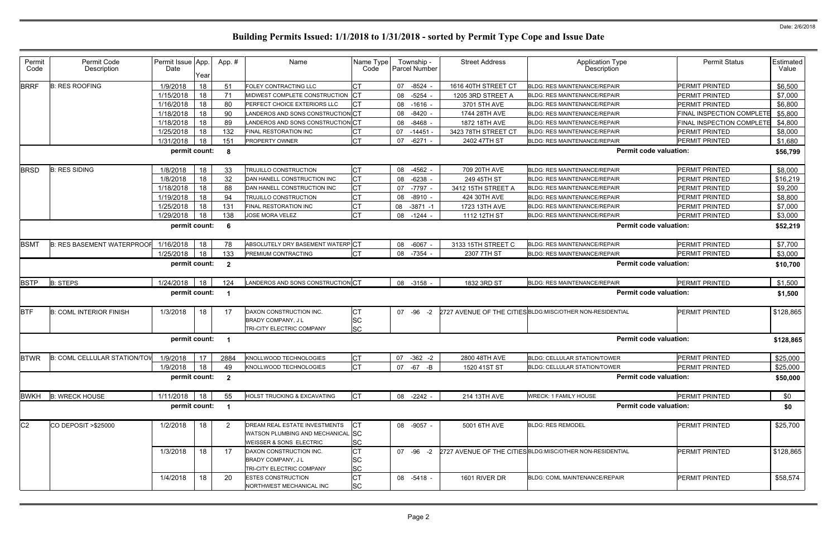| Permit<br>Code | Permit Code<br>Description            | Permit Issue App<br>Date | Year | App.#                   | Name                                                                                          | Name Type<br>Code                   | Township -<br><b>Parcel Number</b> | <b>Street Address</b> | <b>Application Type</b><br>Description                     | <b>Permit Status</b>      | Estimated<br>Value |
|----------------|---------------------------------------|--------------------------|------|-------------------------|-----------------------------------------------------------------------------------------------|-------------------------------------|------------------------------------|-----------------------|------------------------------------------------------------|---------------------------|--------------------|
| <b>BRRF</b>    | <b>B: RES ROOFING</b>                 | 1/9/2018                 | 18   | 51                      | FOLEY CONTRACTING LLC                                                                         | <b>CT</b>                           | $-8524$<br>07                      | 1616 40TH STREET CT   | <b>BLDG: RES MAINTENANCE/REPAIR</b>                        | <b>PERMIT PRINTED</b>     | \$6,500            |
|                |                                       | 1/15/2018                | 18   | 71                      | MIDWEST COMPLETE CONSTRUCTION CT                                                              |                                     | -5254<br>08                        | 1205 3RD STREET A     | <b>BLDG: RES MAINTENANCE/REPAIR</b>                        | PERMIT PRINTED            | \$7,000            |
|                |                                       | 1/16/2018                | 18   | 80                      | PERFECT CHOICE EXTERIORS LLC                                                                  | CT                                  | 08 -1616                           | 3701 5TH AVE          | BLDG: RES MAINTENANCE/REPAIR                               | PERMIT PRINTED            | \$6,800            |
|                |                                       | 1/18/2018                | 18   | 90                      | LANDEROS AND SONS CONSTRUCTION CT                                                             |                                     | 08<br>-8420                        | 1744 28TH AVE         | <b>BLDG: RES MAINTENANCE/REPAIR</b>                        | FINAL INSPECTION COMPLETE | \$5,800            |
|                |                                       | 1/18/2018                | 18   | 89                      | LANDEROS AND SONS CONSTRUCTION CT                                                             |                                     | $-8468$<br>08                      | 1872 18TH AVE         | <b>BLDG: RES MAINTENANCE/REPAIR</b>                        | FINAL INSPECTION COMPLETE | \$4,800            |
|                |                                       | 1/25/2018                | 18   | 132                     | FINAL RESTORATION INC                                                                         |                                     | 07<br>$-14451$                     | 3423 78TH STREET CT   | <b>BLDG: RES MAINTENANCE/REPAIR</b>                        | PERMIT PRINTED            | \$8,000            |
|                |                                       | 1/31/2018                | 18   | 151                     | <b>PROPERTY OWNER</b>                                                                         | <b>CT</b>                           | $-6271$<br>07                      | 2402 47TH ST          | <b>BLDG: RES MAINTENANCE/REPAIR</b>                        | <b>PERMIT PRINTED</b>     | \$1,680            |
|                |                                       | permit count:            |      | -8                      |                                                                                               |                                     |                                    |                       | <b>Permit code valuation:</b>                              |                           | \$56,799           |
| <b>BRSD</b>    | <b>B: RES SIDING</b>                  | 1/8/2018                 | 18   | 33                      | TRUJILLO CONSTRUCTION                                                                         | СT                                  | 08<br>$-4562$                      | 709 20TH AVE          | <b>BLDG: RES MAINTENANCE/REPAIR</b>                        | <b>PERMIT PRINTED</b>     | \$8,000            |
|                |                                       | 1/8/2018                 | 18   | 32                      | DAN HANELL CONSTRUCTION INC                                                                   | <b>CT</b>                           | $-6238$<br>08                      | 249 45TH ST           | <b>BLDG: RES MAINTENANCE/REPAIR</b>                        | PERMIT PRINTED            | \$16,219           |
|                |                                       | 1/18/2018                | 18   | 88                      | DAN HANELL CONSTRUCTION INC                                                                   | <b>CT</b>                           | $-7797$<br>07                      | 3412 15TH STREET A    | <b>BLDG: RES MAINTENANCE/REPAIR</b>                        | <b>PERMIT PRINTED</b>     | \$9,200            |
|                |                                       | 1/19/2018                | 18   | 94                      | TRUJILLO CONSTRUCTION                                                                         | СT                                  | $-8910$<br>08                      | 424 30TH AVE          | <b>BLDG: RES MAINTENANCE/REPAIR</b>                        | PERMIT PRINTED            | \$8,800            |
|                |                                       | 1/25/2018                | 18   | 131                     | FINAL RESTORATION INC                                                                         | СT                                  | 08<br>$-3871 - 1$                  | 1723 13TH AVE         | <b>BLDG: RES MAINTENANCE/REPAIR</b>                        | PERMIT PRINTED            | \$7,000            |
|                |                                       | 1/29/2018                | 18   | 138                     | <b>JOSE MORA VELEZ</b>                                                                        | <b>CT</b>                           | $-1244$<br>08                      | 1112 12TH ST          | <b>BLDG: RES MAINTENANCE/REPAIR</b>                        | PERMIT PRINTED            | \$3,000            |
|                |                                       | permit count:            |      |                         |                                                                                               |                                     |                                    |                       | <b>Permit code valuation:</b>                              |                           | \$52,219           |
| <b>BSMT</b>    | <b>B: RES BASEMENT WATERPROOF</b>     | 1/16/2018                | 18   | 78                      | ABSOLUTELY DRY BASEMENT WATERP CT                                                             |                                     | $-6067$<br>08                      | 3133 15TH STREET C    | <b>BLDG: RES MAINTENANCE/REPAIR</b>                        | <b>PERMIT PRINTED</b>     | \$7,700            |
|                |                                       | 1/25/2018                | 18   | 133                     | <b>PREMIUM CONTRACTING</b>                                                                    | <b>CT</b>                           | 08<br>-7354                        | 2307 7TH ST           | <b>BLDG: RES MAINTENANCE/REPAIR</b>                        | <b>PERMIT PRINTED</b>     | \$3,000            |
|                |                                       | permit count:            |      | $\overline{\mathbf{2}}$ |                                                                                               |                                     |                                    |                       | <b>Permit code valuation:</b>                              |                           | \$10,700           |
| <b>BSTP</b>    | <b>B: STEPS</b>                       | 1/24/2018                | 18   | 124                     | LANDEROS AND SONS CONSTRUCTION CT                                                             |                                     | 08 -3158                           | 1832 3RD ST           | <b>BLDG: RES MAINTENANCE/REPAIR</b>                        | <b>PERMIT PRINTED</b>     | \$1,500            |
|                |                                       | permit count:            |      |                         |                                                                                               |                                     |                                    |                       | <b>Permit code valuation:</b>                              |                           | \$1,500            |
| <b>BTF</b>     | <b>B: COML INTERIOR FINISH</b>        | 1/3/2018                 | 18   | 17                      | DAXON CONSTRUCTION INC.<br>BRADY COMPANY, J L<br>TRI-CITY ELECTRIC COMPANY                    | <b>CT</b><br><b>SC</b><br><b>SC</b> | 07 - 96 - 2                        |                       | 2727 AVENUE OF THE CITIES BLDG: MISC/OTHER NON-RESIDENTIAL | PERMIT PRINTED            | \$128,865          |
|                |                                       | permit count:            |      | $\blacksquare$          |                                                                                               |                                     |                                    |                       | <b>Permit code valuation:</b>                              |                           | \$128,865          |
| <b>BTWR</b>    | B: COML CELLULAR STATION/TOV 1/9/2018 |                          | 17   | 2884                    | KNOLLWOOD TECHNOLOGIES                                                                        | СT                                  | 07<br>$-362 -2$                    | 2800 48TH AVE         | BLDG: CELLULAR STATION/TOWER                               | PERMIT PRINTED            | \$25,000           |
|                |                                       | 1/9/2018                 | 18   | 49                      | KNOLLWOOD TECHNOLOGIES                                                                        | <b>CT</b>                           | 07 -67 -B                          | 1520 41ST ST          | <b>BLDG: CELLULAR STATION/TOWER</b>                        | PERMIT PRINTED            | \$25,000           |
|                |                                       | permit count: 2          |      |                         |                                                                                               |                                     |                                    |                       | <b>Permit code valuation:</b>                              |                           | \$50,000           |
| <b>BWKH</b>    | <b>B: WRECK HOUSE</b>                 | 1/11/2018                | 18   | 55                      | <b>HOLST TRUCKING &amp; EXCAVATING</b>                                                        | <b>CT</b>                           | 08 -2242 -                         | 214 13TH AVE          | <b>WRECK: 1 FAMILY HOUSE</b>                               | PERMIT PRINTED            | \$0                |
|                |                                       | permit count:            |      | $\overline{\mathbf{1}}$ |                                                                                               |                                     |                                    |                       | <b>Permit code valuation:</b>                              |                           | \$0                |
| C <sub>2</sub> | CO DEPOSIT > \$25000                  | 1/2/2018                 | 18   | 2                       | DREAM REAL ESTATE INVESTMENTS<br>WATSON PLUMBING AND MECHANICAL SC<br>WEISSER & SONS ELECTRIC | <b>CT</b><br><b>SC</b>              | 08 -9057 -                         | 5001 6TH AVE          | <b>BLDG: RES REMODEL</b>                                   | PERMIT PRINTED            | \$25,700           |
|                |                                       | 1/3/2018                 | 18   | 17                      | DAXON CONSTRUCTION INC.<br>BRADY COMPANY, J L<br>TRI-CITY ELECTRIC COMPANY                    | <b>CT</b><br><b>SC</b><br><b>SC</b> | $07 - 96 - 2$                      |                       | 2727 AVENUE OF THE CITIES BLDG:MISC/OTHER NON-RESIDENTIAL  | PERMIT PRINTED            | \$128,865          |
|                |                                       | 1/4/2018                 | 18   | 20                      | <b>ESTES CONSTRUCTION</b><br>NORTHWEST MECHANICAL INC                                         | <b>CT</b><br><b>SC</b>              | 08 -5418 -                         | 1601 RIVER DR         | <b>BLDG: COML MAINTENANCE/REPAIR</b>                       | <b>PERMIT PRINTED</b>     | \$58,574           |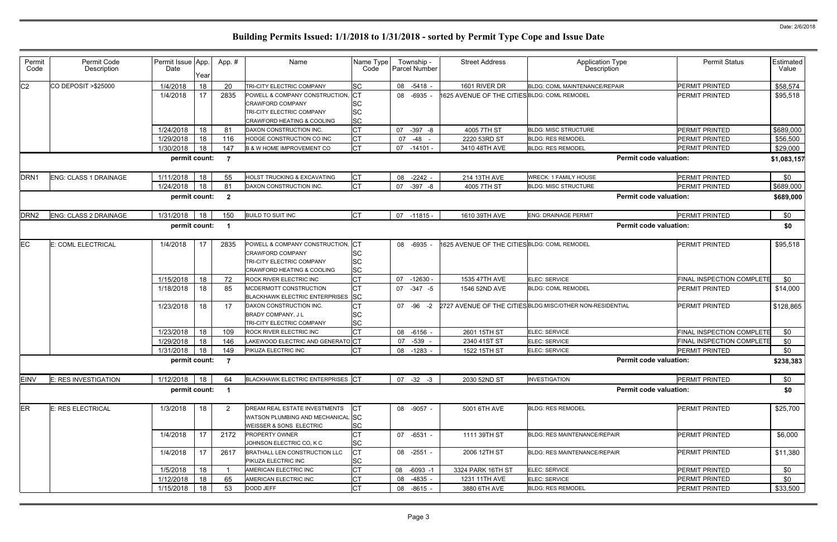| Permit<br>Code   | Permit Code<br>Description   | Permit Issue App.<br>Date | Year | App. #                  | Name                                                                                                                            | Name Type<br>Code                                 | Township -<br>Parcel Number | <b>Street Address</b>                        | <b>Application Type</b><br>Description                     | <b>Permit Status</b>             | Estimated<br>Value |
|------------------|------------------------------|---------------------------|------|-------------------------|---------------------------------------------------------------------------------------------------------------------------------|---------------------------------------------------|-----------------------------|----------------------------------------------|------------------------------------------------------------|----------------------------------|--------------------|
| C <sub>2</sub>   | CO DEPOSIT > \$25000         | 1/4/2018                  | 18   | 20                      | TRI-CITY ELECTRIC COMPANY                                                                                                       | <b>SC</b>                                         | 08 -5418 -                  | 1601 RIVER DR                                | BLDG: COML MAINTENANCE/REPAIR                              | <b>PERMIT PRINTED</b>            | \$58,574           |
|                  |                              | 1/4/2018                  | 17   | 2835                    | POWELL & COMPANY CONSTRUCTION,<br><b>CRAWFORD COMPANY</b><br>TRI-CITY ELECTRIC COMPANY<br><b>CRAWFORD HEATING &amp; COOLING</b> | $ _{CT}$<br><b>SC</b><br><b>SC</b><br><b>SC</b>   | 08 -6935                    | 1625 AVENUE OF THE CITIESBLDG: COML REMODEL  |                                                            | <b>PERMIT PRINTED</b>            | \$95,518           |
|                  |                              | 1/24/2018                 | 18   | -81                     | DAXON CONSTRUCTION INC.                                                                                                         | СŢ                                                | 07 -397 -8                  | 4005 7TH ST                                  | <b>BLDG: MISC STRUCTURE</b>                                | PERMIT PRINTED                   | \$689,000          |
|                  |                              | 1/29/2018                 | 18   | 116                     | HODGE CONSTRUCTION CO INC                                                                                                       |                                                   | 07 -48                      | 2220 53RD ST                                 | <b>BLDG: RES REMODEL</b>                                   | PERMIT PRINTED                   | \$56,500           |
|                  |                              | 1/30/2018                 | 18   | 147                     | <b>B &amp; W HOME IMPROVEMENT CO</b>                                                                                            | <b>CT</b>                                         | $07 - 14101 -$              | 3410 48TH AVE                                | <b>BLDG: RES REMODEL</b>                                   | <b>PERMIT PRINTED</b>            | \$29,000           |
|                  |                              | permit count:             |      | $\overline{7}$          |                                                                                                                                 |                                                   |                             |                                              | <b>Permit code valuation:</b>                              |                                  | \$1,083,157        |
| DRN <sub>1</sub> | <b>ENG: CLASS 1 DRAINAGE</b> | 1/11/2018                 | 18   | 55                      | <b>HOLST TRUCKING &amp; EXCAVATING</b>                                                                                          | СT                                                | 08 -2242 -                  | 214 13TH AVE                                 | <b>WRECK: 1 FAMILY HOUSE</b>                               | PERMIT PRINTED                   | \$0                |
|                  |                              | 1/24/2018                 | 18   | -81                     | DAXON CONSTRUCTION INC.                                                                                                         | <b>CT</b>                                         | 07 - 397 - 8                | 4005 7TH ST                                  | <b>BLDG: MISC STRUCTURE</b>                                | <b>PERMIT PRINTED</b>            | \$689,000          |
|                  |                              | permit count:             |      | $\overline{\mathbf{2}}$ |                                                                                                                                 |                                                   |                             |                                              | <b>Permit code valuation:</b>                              |                                  | \$689,000          |
| DRN <sub>2</sub> | <b>ENG: CLASS 2 DRAINAGE</b> | 1/31/2018                 | 18   | 150                     | <b>BUILD TO SUIT INC</b>                                                                                                        | <b>I</b> CT                                       | 07 -11815 -                 | 1610 39TH AVE                                | <b>ENG: DRAINAGE PERMIT</b>                                | <b>PERMIT PRINTED</b>            | \$0                |
|                  |                              | permit count:             |      | - 1                     |                                                                                                                                 |                                                   |                             |                                              | <b>Permit code valuation:</b>                              |                                  | \$0                |
| EC               | E: COML ELECTRICAL           | 1/4/2018                  | 17   | 2835                    | POWELL & COMPANY CONSTRUCTION,<br><b>CRAWFORD COMPANY</b><br>TRI-CITY ELECTRIC COMPANY<br><b>CRAWFORD HEATING &amp; COOLING</b> | <b>ICT</b><br><b>SC</b><br><b>SC</b><br><b>SC</b> | 08 -6935                    | 1625 AVENUE OF THE CITIES BLDG: COML REMODEL |                                                            | <b>PERMIT PRINTED</b>            | \$95,518           |
|                  |                              | 1/15/2018                 | 18   | 72                      | <b>ROCK RIVER ELECTRIC INC</b>                                                                                                  |                                                   | 07 -12630 -                 | 1535 47TH AVE                                | ELEC: SERVICE                                              | FINAL INSPECTION COMPLETE        | \$0                |
|                  |                              | 1/18/2018                 | 18   | 85                      | MCDERMOTT CONSTRUCTION<br><b>BLACKHAWK ELECTRIC ENTERPRISES</b>                                                                 | СT<br><b>SC</b>                                   | 07 -347 -5                  | 1546 52ND AVE                                | <b>BLDG: COML REMODEL</b>                                  | <b>PERMIT PRINTED</b>            | \$14,000           |
|                  |                              | 1/23/2018                 | 18   | 17                      | DAXON CONSTRUCTION INC.<br><b>BRADY COMPANY, JL</b><br>TRI-CITY ELECTRIC COMPANY                                                | СŤ<br><b>SC</b><br><b>SC</b>                      | 07 - 96 - 2                 |                                              | 2727 AVENUE OF THE CITIES BLDG: MISC/OTHER NON-RESIDENTIAL | <b>PERMIT PRINTED</b>            | \$128,865          |
|                  |                              | 1/23/2018                 | 18   | 109                     | ROCK RIVER ELECTRIC INC                                                                                                         | СT                                                | 08 -6156                    | 2601 15TH ST                                 | ELEC: SERVICE                                              | FINAL INSPECTION COMPLETE        | \$0                |
|                  |                              | 1/29/2018                 | 18   | 146                     | LAKEWOOD ELECTRIC AND GENERATO CT                                                                                               |                                                   | -539 -<br>07                | 2340 41ST ST                                 | ELEC: SERVICE                                              | <b>FINAL INSPECTION COMPLETE</b> | \$0                |
|                  |                              | 1/31/2018                 | 18   | 149                     | PIKUZA ELECTRIC INC                                                                                                             |                                                   | 08 -1283                    | 1522 15TH ST                                 | ELEC: SERVICE                                              | PERMIT PRINTED                   | \$0                |
|                  |                              | permit count:             |      |                         |                                                                                                                                 |                                                   |                             |                                              | <b>Permit code valuation:</b>                              |                                  | \$238,383          |
| <b>EINV</b>      | E: RES INVESTIGATION         | 1/12/2018                 | 18   | 64                      | BLACKHAWK ELECTRIC ENTERPRISES CT                                                                                               |                                                   | $07 - 32 - 3$               | 2030 52ND ST                                 | <b>INVESTIGATION</b>                                       | PERMIT PRINTED                   | \$0                |
|                  |                              | permit count:             |      | $\blacksquare$          |                                                                                                                                 |                                                   |                             |                                              | <b>Permit code valuation:</b>                              |                                  | \$0                |
| <b>ER</b>        | E: RES ELECTRICAL            | 1/3/2018                  | 18   | $\overline{2}$          | DREAM REAL ESTATE INVESTMENTS<br>WATSON PLUMBING AND MECHANICAL SC<br>WEISSER & SONS ELECTRIC                                   | СT<br><b>SC</b>                                   | 08 -9057 -                  | 5001 6TH AVE                                 | <b>BLDG: RES REMODEL</b>                                   | PERMIT PRINTED                   | \$25,700           |
|                  |                              | 1/4/2018                  | 17   | 2172                    | <b>PROPERTY OWNER</b><br>JOHNSON ELECTRIC CO, K C                                                                               | C.<br><b>SC</b>                                   | 07 -6531 -                  | 1111 39TH ST                                 | <b>BLDG: RES MAINTENANCE/REPAIR</b>                        | <b>PERMIT PRINTED</b>            | \$6,000            |
|                  |                              | 1/4/2018                  | 17   | 2617                    | BRATHALL LEN CONSTRUCTION LLC<br>PIKUZA ELECTRIC INC                                                                            | СŢ<br><b>SC</b>                                   | 08 -2551 -                  | 2006 12TH ST                                 | <b>BLDG: RES MAINTENANCE/REPAIR</b>                        | <b>PERMIT PRINTED</b>            | \$11,380           |
|                  |                              | 1/5/2018                  | 18   |                         | AMERICAN ELECTRIC INC                                                                                                           |                                                   | 08 -6093 -1                 | 3324 PARK 16TH ST                            | ELEC: SERVICE                                              | PERMIT PRINTED                   | \$0                |
|                  |                              | 1/12/2018                 | 18   | 65                      | AMERICAN ELECTRIC INC                                                                                                           |                                                   | 08 -4835 -                  | 1231 11TH AVE                                | ELEC: SERVICE                                              | <b>PERMIT PRINTED</b>            | \$0                |
|                  |                              | 1/15/2018                 | 18   | 53                      | DODD JEFF                                                                                                                       | СT                                                | 08 -8615 -                  | 3880 6TH AVE                                 | <b>BLDG: RES REMODEL</b>                                   | PERMIT PRINTED                   | \$33,500           |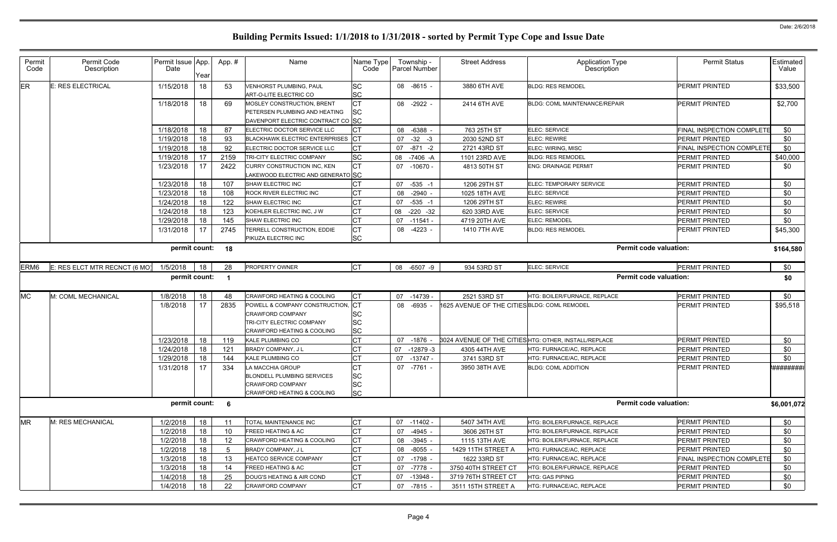| Permit<br>Code   | Permit Code<br>Description    | Permit Issue App.<br>Date | Year     | App. #                  | Name                                                                                                                 | Name Type<br>Code                          | Township -<br><b>Parcel Number</b> | <b>Street Address</b>                       | Application Type<br>Description                              | <b>Permit Status</b>                    | Estimated<br>Value |
|------------------|-------------------------------|---------------------------|----------|-------------------------|----------------------------------------------------------------------------------------------------------------------|--------------------------------------------|------------------------------------|---------------------------------------------|--------------------------------------------------------------|-----------------------------------------|--------------------|
| ER               | E: RES ELECTRICAL             | 1/15/2018                 | 18       | 53                      | <b>VENHORST PLUMBING, PAUL</b><br>ART-O-LITE ELECTRIC CO                                                             | <b>SC</b><br><b>SC</b>                     | 08 -8615 -                         | 3880 6TH AVE                                | <b>BLDG: RES REMODEL</b>                                     | <b>PERMIT PRINTED</b>                   | \$33,500           |
|                  |                               | 1/18/2018                 | 18       | 69                      | <b>MOSLEY CONSTRUCTION, BRENT</b><br>PETERSEN PLUMBING AND HEATING<br>DAVENPORT ELECTRIC CONTRACT CO SC              | <b>CT</b><br>SC                            | 08 -2922 -                         | 2414 6TH AVE                                | <b>BLDG: COML MAINTENANCE/REPAIR</b>                         | <b>PERMIT PRINTED</b>                   | \$2,700            |
|                  |                               | 1/18/2018                 | 18       | 87                      | ELECTRIC DOCTOR SERVICE LLC                                                                                          | СT                                         | -6388<br>08                        | 763 25TH ST                                 | ELEC: SERVICE                                                | <b>FINAL INSPECTION COMPLETE</b>        | \$0                |
|                  |                               | 1/19/2018                 | 18       | 93                      | BLACKHAWK ELECTRIC ENTERPRISES CT                                                                                    |                                            | $-32 - 3$<br>07                    | 2030 52ND ST                                | <b>ELEC: REWIRE</b>                                          | PERMIT PRINTED                          | \$0                |
|                  |                               | 1/19/2018                 | 18       | 92                      | ELECTRIC DOCTOR SERVICE LLC                                                                                          | <b>CT</b>                                  | $-871 - 2$<br>07                   | 2721 43RD ST                                | ELEC: WIRING, MISC                                           | FINAL INSPECTION COMPLETE               | \$0                |
|                  |                               | 1/19/2018                 | 17       | 2159                    | TRI-CITY ELECTRIC COMPANY                                                                                            | <b>SC</b>                                  | -7406 -A<br>08                     | 1101 23RD AVE                               | <b>BLDG: RES REMODEL</b>                                     | PERMIT PRINTED                          | \$40,000           |
|                  |                               | 1/23/2018                 | 17       | 2422                    | CURRY CONSTRUCTION INC, KEN<br>LAKEWOOD ELECTRIC AND GENERATO SC                                                     | <b>CT</b>                                  | 07 -10670 -                        | 4813 50TH ST                                | <b>ENG: DRAINAGE PERMIT</b>                                  | <b>PERMIT PRINTED</b>                   | \$0                |
|                  |                               | 1/23/2018                 | 18       | 107                     | SHAW ELECTRIC INC                                                                                                    | СT                                         | 07 -535 -1                         | 1206 29TH ST                                | ELEC: TEMPORARY SERVICE                                      | PERMIT PRINTED                          | \$0                |
|                  |                               | 1/23/2018                 | 18       | 108                     | <b>ROCK RIVER ELECTRIC INC</b>                                                                                       | CT                                         | 08 -2940                           | 1025 18TH AVE                               | ELEC: SERVICE                                                | PERMIT PRINTED                          | \$0                |
|                  |                               | 1/24/2018                 | 18       | 122                     | SHAW ELECTRIC INC                                                                                                    | СT                                         | $-535 - 1$<br>07                   | 1206 29TH ST                                | <b>ELEC: REWIRE</b>                                          | <b>PERMIT PRINTED</b>                   | \$0                |
|                  |                               | 1/24/2018                 | 18       | 123                     | KOEHLER ELECTRIC INC, J W                                                                                            | СT                                         | 08 -220 -32                        | 620 33RD AVE                                | ELEC: SERVICE                                                | <b>PERMIT PRINTED</b>                   | \$0                |
|                  |                               | 1/29/2018                 | 18       | 145                     | SHAW ELECTRIC INC                                                                                                    | <b>CT</b>                                  | 07 -11541 -                        | 4719 20TH AVE                               | ELEC: REMODEL                                                | PERMIT PRINTED                          | \$0                |
|                  |                               | 1/31/2018                 | 17       | 2745                    | TERRELL CONSTRUCTION, EDDIE<br>PIKUZA ELECTRIC INC                                                                   | CT<br><b>SC</b>                            | 08 -4223 -                         | 1410 7TH AVE                                | <b>BLDG: RES REMODEL</b>                                     | <b>PERMIT PRINTED</b>                   | \$45,300           |
|                  |                               | permit count: 18          |          |                         |                                                                                                                      |                                            |                                    |                                             | <b>Permit code valuation:</b>                                |                                         | \$164,580          |
| ERM <sub>6</sub> | E: RES ELCT MTR RECNCT (6 MO) | 1/5/2018                  | 18       | 28                      | <b>PROPERTY OWNER</b>                                                                                                | <b>CT</b>                                  | 08 -6507 -9                        | 934 53RD ST                                 | ELEC: SERVICE                                                | <b>PERMIT PRINTED</b>                   | \$0                |
|                  |                               | permit count:             |          | $\overline{\mathbf{1}}$ |                                                                                                                      |                                            |                                    |                                             | <b>Permit code valuation:</b>                                |                                         | \$0                |
| <b>MC</b>        | M: COML MECHANICAL            | 1/8/2018                  | 18       | 48                      | CRAWFORD HEATING & COOLING                                                                                           | <b>CT</b>                                  | 07 -14739                          | 2521 53RD ST                                | HTG: BOILER/FURNACE, REPLACE                                 | PERMIT PRINTED                          | \$0                |
|                  |                               | 1/8/2018                  | 17       | 2835                    | POWELL & COMPANY CONSTRUCTION,<br><b>CRAWFORD COMPANY</b><br>TRI-CITY ELECTRIC COMPANY<br>CRAWFORD HEATING & COOLING | IСТ<br><b>SC</b><br><b>SC</b><br><b>SC</b> | 08 -6935                           | 1625 AVENUE OF THE CITIESBLDG: COML REMODEL |                                                              | <b>IPERMIT PRINTED</b>                  | \$95,518           |
|                  |                               | 1/23/2018                 | 18       | 119                     | <b>KALE PLUMBING CO</b>                                                                                              | <b>CT</b>                                  | 07 -1876                           |                                             | 3024 AVENUE OF THE CITIES HTG: OTHER, INSTALL/REPLACE        | <b>PERMIT PRINTED</b>                   | \$0                |
|                  |                               | 1/24/2018                 | 18       | 121                     | BRADY COMPANY, J L                                                                                                   |                                            | $-12879-3$<br>07                   | 4305 44TH AVE                               | HTG: FURNACE/AC, REPLACE                                     | PERMIT PRINTED                          | \$0                |
|                  |                               | 1/29/2018                 | 18       | 144                     | KALE PLUMBING CO                                                                                                     | <b>CT</b>                                  | 07 -13747 -                        | 3741 53RD ST                                | HTG: FURNACE/AC, REPLACE                                     | PERMIT PRINTED                          | \$0                |
|                  |                               | 1/31/2018                 | 17       | 334                     | <b>LA MACCHIA GROUP</b><br><b>BLONDELL PLUMBING SERVICES</b>                                                         | <b>CT</b><br><b>SC</b>                     | 07 -7761 -                         | 3950 38TH AVE                               | <b>BLDG: COML ADDITION</b>                                   | <b>PERMIT PRINTED</b>                   | <i>*#########</i>  |
|                  |                               |                           |          |                         | <b>CRAWFORD COMPANY</b>                                                                                              | <b>SC</b>                                  |                                    |                                             |                                                              |                                         |                    |
|                  |                               | permit count: 6           |          |                         | <b>CRAWFORD HEATING &amp; COOLING</b>                                                                                | <b>SC</b>                                  |                                    |                                             | <b>Permit code valuation:</b>                                |                                         | \$6,001,072        |
|                  |                               |                           |          |                         |                                                                                                                      |                                            |                                    |                                             |                                                              |                                         |                    |
| <b>MR</b>        | M: RES MECHANICAL             | 1/2/2018                  | 18       |                         | TOTAL MAINTENANCE INC<br><b>FREED HEATING &amp; AC</b>                                                               | <b>CT</b>                                  | 07 -11402 -                        | 5407 34TH AVE                               | HTG: BOILER/FURNACE, REPLACE                                 | PERMIT PRINTED                          | \$0                |
|                  |                               | 1/2/2018                  | 18       | 10                      | CRAWFORD HEATING & COOLING                                                                                           | <b>CT</b>                                  | $-4945$ .<br>07                    | 3606 26TH ST                                | HTG: BOILER/FURNACE, REPLACE<br>HTG: BOILER/FURNACE, REPLACE | PERMIT PRINTED<br><b>PERMIT PRINTED</b> | \$0                |
|                  |                               | 1/2/2018<br>1/2/2018      | 18       | 12<br>.5                | BRADY COMPANY, J L                                                                                                   | СT<br><b>CT</b>                            | 08 - 3945 -<br>08 -8055            | 1115 13TH AVE<br>1429 11TH STREET A         | HTG: FURNACE/AC, REPLACE                                     | <b>PERMIT PRINTED</b>                   | \$0<br>\$0         |
|                  |                               | 1/3/2018                  | 18<br>18 | 13                      | <b>HEATCO SERVICE COMPANY</b>                                                                                        | <b>CT</b>                                  | 07 -1798                           | 1622 33RD ST                                | HTG: FURNACE/AC, REPLACE                                     | <b>FINAL INSPECTION COMPLETE</b>        | \$0                |
|                  |                               | 1/3/2018                  | 18       | 14                      | <b>FREED HEATING &amp; AC</b>                                                                                        | <b>CT</b>                                  | 07 -7778                           | 3750 40TH STREET CT                         | HTG: BOILER/FURNACE, REPLACE                                 | <b>PERMIT PRINTED</b>                   | \$0                |
|                  |                               | 1/4/2018                  | 18       | 25                      | DOUG'S HEATING & AIR COND                                                                                            | CT                                         | 07 -13948                          | 3719 76TH STREET CT                         | HTG: GAS PIPING                                              | <b>PERMIT PRINTED</b>                   | \$0                |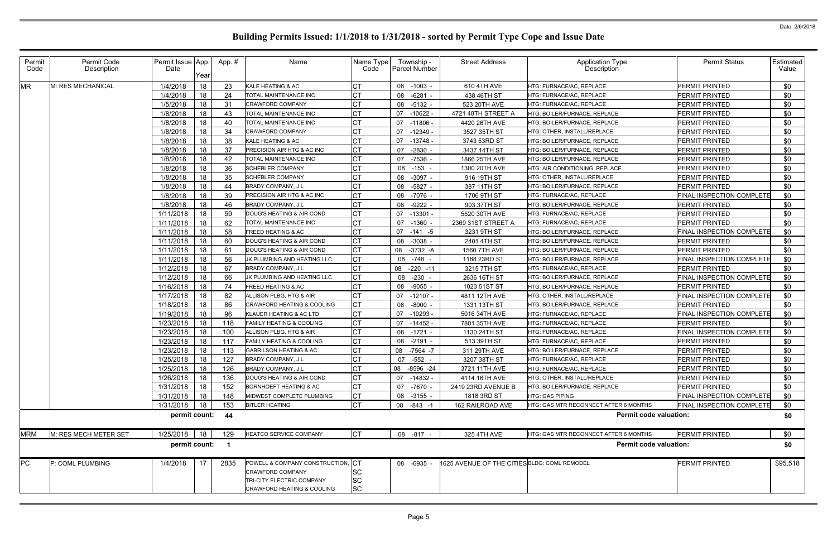| Permit<br>Code | Permit Code<br>Description | Permit Issue App.<br>Date | Year | App.# | Name                                                                                                                    | Name Type<br>Code            | Township -<br><b>Parcel Number</b> | <b>Street Address</b>                        | <b>Application Type</b><br>Description | <b>Permit Status</b>             | Estimated<br>Value |
|----------------|----------------------------|---------------------------|------|-------|-------------------------------------------------------------------------------------------------------------------------|------------------------------|------------------------------------|----------------------------------------------|----------------------------------------|----------------------------------|--------------------|
| <b>MR</b>      | M: RES MECHANICAL          | 1/4/2018                  | 18   | 23    | KALE HEATING & AC                                                                                                       | СT                           | 08 -1003 -                         | 610 4TH AVE                                  | HTG: FURNACE/AC, REPLACE               | PERMIT PRINTED                   | \$0                |
|                |                            | 1/4/2018                  | 18   | 24    | TOTAL MAINTENANCE INC                                                                                                   | СT                           | 08 -6281                           | 438 46TH ST                                  | HTG: FURNACE/AC, REPLACE               | PERMIT PRINTED                   | \$0                |
|                |                            | 1/5/2018                  | 18   | 31    | <b>CRAWFORD COMPANY</b>                                                                                                 | СT                           | 08 -5132 -                         | 523 20TH AVE                                 | HTG: FURNACE/AC, REPLACE               | PERMIT PRINTED                   | \$0                |
|                |                            | 1/8/2018                  | 18   | 43    | TOTAL MAINTENANCE INC                                                                                                   |                              | $-10622$<br>07                     | 4721 48TH STREET A                           | HTG: BOILER/FURNACE, REPLACE           | PERMIT PRINTED                   | \$0                |
|                |                            | 1/8/2018                  | 18   | 40    | <b>TOTAL MAINTENANCE INC</b>                                                                                            | <b>CT</b>                    | $-11806$<br>07                     | 4420 26TH AVE                                | HTG: BOILER/FURNACE, REPLACE           | <b>PERMIT PRINTED</b>            | \$0                |
|                |                            | 1/8/2018                  | 18   | -34   | <b>CRAWFORD COMPANY</b>                                                                                                 | СT                           | 07<br>-12349 -                     | 3527 35TH ST                                 | HTG: OTHER, INSTALL/REPLACE            | PERMIT PRINTED                   | \$0                |
|                |                            | 1/8/2018                  | 18   | 38    | KALE HEATING & AC                                                                                                       |                              | $-13748$<br>07                     | 3743 53RD ST                                 | HTG: BOILER/FURNACE. REPLACE           | <b>PERMIT PRINTED</b>            | \$0                |
|                |                            | 1/8/2018                  | 18   | 37    | PRECISION AIR HTG & AC INC                                                                                              | CT                           | -2830<br>07                        | 3437 14TH ST                                 | HTG: BOILER/FURNACE, REPLACE           | PERMIT PRINTED                   | \$0                |
|                |                            | 1/8/2018                  | 18   | 42    | TOTAL MAINTENANCE INC                                                                                                   | CT                           | -7536<br>07                        | 1866 25TH AVE                                | HTG: BOILER/FURNACE, REPLACE           | <b>PERMIT PRINTED</b>            | \$0                |
|                |                            | 1/8/2018                  | 18   | 36    | <b>SCHEBLER COMPANY</b>                                                                                                 | СT                           | $-153$<br>08                       | 1300 20TH AVE                                | HTG: AIR CONDITIONING, REPLACE         | PERMIT PRINTED                   | \$0                |
|                |                            | 1/8/2018                  | 18   | 35    | <b>SCHEBLER COMPANY</b>                                                                                                 | СT                           | 08 -3097 -                         | 916 19TH ST                                  | HTG: OTHER, INSTALL/REPLACE            | PERMIT PRINTED                   | \$0                |
|                |                            | 1/8/2018                  | 18   | 44    | BRADY COMPANY, J L                                                                                                      | СT                           | $-5827$<br>08                      | 387 11TH ST                                  | HTG: BOILER/FURNACE, REPLACE           | <b>PERMIT PRINTED</b>            | \$0                |
|                |                            | 1/8/2018                  | 18   | -39   | PRECISION AIR HTG & AC INC                                                                                              | СT                           | 08 -7076                           | 1706 9TH ST                                  | HTG: FURNACE/AC, REPLACE               | <b>FINAL INSPECTION COMPLETE</b> | \$0                |
|                |                            | 1/8/2018                  | 18   | 46    | <b>BRADY COMPANY, JL</b>                                                                                                | <b>CT</b>                    | $-9222$<br>08                      | 903 37TH ST                                  | HTG: BOILER/FURNACE, REPLACE           | <b>PERMIT PRINTED</b>            | \$0                |
|                |                            | 1/11/2018                 | 18   | 59    | DOUG'S HEATING & AIR COND                                                                                               | <b>CT</b>                    | 07 -13301                          | 5520 30TH AVE                                | HTG: FURNACE/AC, REPLACE               | PERMIT PRINTED                   | \$0                |
|                |                            | 1/11/2018                 | 18   | 62    | TOTAL MAINTENANCE INC                                                                                                   | CT                           | $-1360$<br>07                      | 2369 31ST STREET A                           | HTG: FURNACE/AC, REPLACE               | <b>PERMIT PRINTED</b>            | \$0                |
|                |                            | 1/11/2018                 | 18   | 58    | <b>FREED HEATING &amp; AC</b>                                                                                           | СT                           | 07 -141 -5                         | 3231 9TH ST                                  | HTG: BOILER/FURNACE. REPLACE           | FINAL INSPECTION COMPLETE        | \$0                |
|                |                            | 1/11/2018                 | 18   | 60    | DOUG'S HEATING & AIR COND                                                                                               | CT                           | 08 -3038                           | 2401 4TH ST                                  | HTG: BOILER/FURNACE, REPLACE           | <b>PERMIT PRINTED</b>            | \$0                |
|                |                            | 1/11/2018                 | 18   | -61   | DOUG'S HEATING & AIR COND                                                                                               | CT                           | $-3732 - A$<br>08                  | 1560 7TH AVE                                 | HTG: BOILER/FURNACE. REPLACE           | <b>PERMIT PRINTED</b>            | \$0                |
|                |                            | 1/11/2018                 | 18   | 56    | JK PLUMBING AND HEATING LLC                                                                                             | <b>CT</b>                    | 08<br>-748                         | 1188 23RD ST                                 | HTG: BOILER/FURNACE, REPLACE           | <b>FINAL INSPECTION COMPLETE</b> | \$0                |
|                |                            | 1/12/2018                 | 18   | 67    | <b>BRADY COMPANY, JL</b>                                                                                                | СT                           | 08 -220 -11                        | 3215 7TH ST                                  | HTG: FURNACE/AC, REPLACE               | <b>PERMIT PRINTED</b>            | \$0                |
|                |                            | 1/12/2018                 | 18   | 66    | JK PLUMBING AND HEATING LLC                                                                                             | CT                           | 08 -230                            | 2636 16TH ST                                 | HTG: BOILER/FURNACE, REPLACE           | FINAL INSPECTION COMPLETE        | \$0                |
|                |                            | 1/16/2018                 | 18   | 74    | <b>FREED HEATING &amp; AC</b>                                                                                           | СT                           | $-9055$<br>08                      | 1023 51ST ST                                 | HTG: BOILER/FURNACE, REPLACE           | PERMIT PRINTED                   | \$0                |
|                |                            | 1/17/2018                 | 18   | 82    | ALLISON PLBG, HTG & AIR                                                                                                 | CT                           | 07<br>-12107 -                     | 4811 12TH AVE                                | HTG: OTHER, INSTALL/REPLACE            | FINAL INSPECTION COMPLETE        | \$0                |
|                |                            | 1/18/2018                 | 18   | 86    | <b>CRAWFORD HEATING &amp; COOLING</b>                                                                                   | CT                           | $-8000$<br>08                      | 1331 13TH ST                                 | HTG: BOILER/FURNACE, REPLACE           | <b>PERMIT PRINTED</b>            | \$0                |
|                |                            | 1/19/2018                 | 18   | 96    | KLAUER HEATING & AC LTD                                                                                                 | СT                           | 07<br>$-10293$                     | 5016 34TH AVE                                | HTG: FURNACE/AC, REPLACE               | FINAL INSPECTION COMPLETE        | \$0                |
|                |                            | 1/23/2018                 | 18   | 118   | <b>FAMILY HEATING &amp; COOLING</b>                                                                                     | СT                           | $07 - 14452$                       | 7801 35TH AVE                                | HTG: FURNACE/AC. REPLACE               | <b>PERMIT PRINTED</b>            | \$0                |
|                |                            | 1/23/2018                 | 18   | 100   | ALLISON PLBG, HTG & AIR                                                                                                 | СT                           | 08 -1721 -                         | 1130 24TH ST                                 | HTG: FURNACE/AC, REPLACE               | FINAL INSPECTION COMPLETE        | \$0                |
|                |                            | 1/23/2018                 | 18   | 117   | FAMILY HEATING & COOLING                                                                                                | СT                           | $08 - 2191$                        | 513 39TH ST                                  | HTG: FURNACE/AC, REPLACE               | PERMIT PRINTED                   | \$0                |
|                |                            | 1/23/2018                 | 18   | 113   | <b>GABRILSON HEATING &amp; AC</b>                                                                                       | <b>CT</b>                    | 08 -7564 -7                        | 311 29TH AVE                                 | HTG: BOILER/FURNACE, REPLACE           | PERMIT PRINTED                   | \$0                |
|                |                            | 1/25/2018 18              |      | 127   | BRADY COMPANY, J L                                                                                                      | C <sub>T</sub>               | 07 -552 -                          | 3207 38TH ST                                 | HTG: FURNACE/AC, REPLACE               | PERMIT PRINTED                   | \$0                |
|                |                            | 1/25/2018                 | 18   | 126   | <b>BRADY COMPANY, JL</b>                                                                                                | <b>CT</b>                    | 08 -8596 -24                       | 3721 11TH AVE                                | HTG: FURNACE/AC, REPLACE               | PERMIT PRINTED                   | \$0                |
|                |                            | 1/26/2018                 | 18   | 136   | DOUG'S HEATING & AIR COND                                                                                               | CT                           | 07 -14832 -                        | 4114 16TH AVE                                | HTG: OTHER, INSTALL/REPLACE            | PERMIT PRINTED                   | \$0                |
|                |                            | 1/31/2018                 | 18   | 152   | <b>BORNHOEFT HEATING &amp; AC</b>                                                                                       | <b>CT</b>                    | 07 -7670                           | 2419 23RD AVENUE B                           | HTG: BOILER/FURNACE, REPLACE           | <b>PERMIT PRINTED</b>            | \$0                |
|                |                            | 1/31/2018                 | 18   | 148   | MIDWEST COMPLETE PLUMBING                                                                                               | <b>CT</b>                    | 08 -3155 -                         | 1818 3RD ST                                  | HTG: GAS PIPING                        | <b>FINAL INSPECTION COMPLETE</b> | \$0                |
|                |                            | 1/31/2018                 | 18   | 153   | <b>BITLER HEATING</b>                                                                                                   | <b>CT</b>                    | 08 -843 -1                         | 162 RAILROAD AVE                             | HTG: GAS MTR RECONNECT AFTER 6 MONTHS  | <b>FINAL INSPECTION COMPLETE</b> | \$0                |
|                |                            | permit count: 44          |      |       |                                                                                                                         |                              |                                    |                                              | <b>Permit code valuation:</b>          |                                  | \$0                |
| <b>MRM</b>     | M: RES MECH METER SET      | 1/25/2018                 | 18   | 129   | <b>HEATCO SERVICE COMPANY</b>                                                                                           | <b>CT</b>                    | 08 -817 -                          | 325 4TH AVE                                  | HTG: GAS MTR RECONNECT AFTER 6 MONTHS  | <b>PERMIT PRINTED</b>            | \$0                |
|                |                            | permit count: 1           |      |       |                                                                                                                         |                              |                                    |                                              | <b>Permit code valuation:</b>          |                                  | \$0                |
| PC             | P: COML PLUMBING           | 1/4/2018                  | 17   | 2835  | POWELL & COMPANY CONSTRUCTION, CT<br><b>CRAWFORD COMPANY</b><br>TRI-CITY ELECTRIC COMPANY<br>CRAWFORD HEATING & COOLING | SC<br><b>SC</b><br><b>SC</b> | 08 -6935 -                         | 1625 AVENUE OF THE CITIES BLDG: COML REMODEL |                                        | PERMIT PRINTED                   | \$95,518           |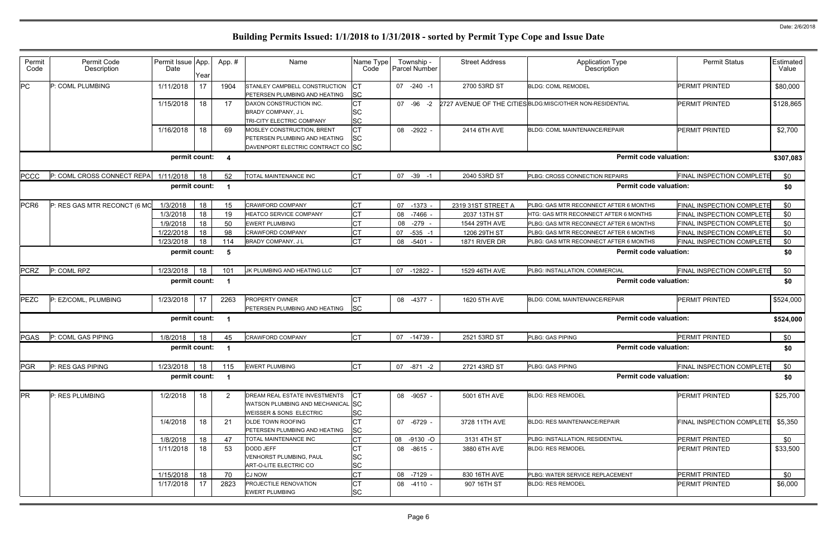| ype<br>n                                                                                                                                                                  | <b>Permit Status</b>             | Estimated<br>Value            |
|---------------------------------------------------------------------------------------------------------------------------------------------------------------------------|----------------------------------|-------------------------------|
|                                                                                                                                                                           | PERMIT PRINTED                   | \$80,000                      |
| <b>NTIAL</b>                                                                                                                                                              | PERMIT PRINTED                   | \$128,865                     |
| AIR                                                                                                                                                                       | PERMIT PRINTED                   | \$2,700                       |
| <b>Permit code valuation:</b>                                                                                                                                             |                                  | \$307,083                     |
| <b>AIRS</b>                                                                                                                                                               | FINAL INSPECTION COMPLETE        | \$0                           |
| <b>Permit code valuation:</b>                                                                                                                                             |                                  | \$0                           |
| TER 6 MONTHS                                                                                                                                                              | FINAL INSPECTION COMPLETE        | \$0                           |
| ER 6 MONTHS                                                                                                                                                               | <b>FINAL INSPECTION COMPLETE</b> | \$0                           |
| TER 6 MONTHS                                                                                                                                                              | <b>FINAL INSPECTION COMPLETE</b> | \$0                           |
| TER 6 MONTHS                                                                                                                                                              | FINAL INSPECTION COMPLETE        | \$0                           |
| TER 6 MONTHS                                                                                                                                                              | FINAL INSPECTION COMPLETE        | \$0                           |
| <b>Permit code valuation:</b>                                                                                                                                             |                                  | \$0                           |
|                                                                                                                                                                           |                                  |                               |
|                                                                                                                                                                           | FINAL INSPECTION COMPLETE        | \$0                           |
|                                                                                                                                                                           |                                  | \$0                           |
|                                                                                                                                                                           | PERMIT PRINTED                   |                               |
|                                                                                                                                                                           |                                  |                               |
|                                                                                                                                                                           | <b>PERMIT PRINTED</b>            | \$0                           |
|                                                                                                                                                                           |                                  | \$0                           |
|                                                                                                                                                                           | FINAL INSPECTION COMPLETE        | \$524,000<br>\$524,000<br>\$0 |
|                                                                                                                                                                           |                                  | \$0                           |
|                                                                                                                                                                           | PERMIT PRINTED                   | \$25,700                      |
|                                                                                                                                                                           | <b>FINAL INSPECTION COMPLETE</b> | \$5,350                       |
|                                                                                                                                                                           | PERMIT PRINTED                   | \$0                           |
| <b>IAL</b><br><b>Permit code valuation:</b><br><b>AIR</b><br><b>Permit code valuation:</b><br><b>Permit code valuation:</b><br><b>Permit code valuation:</b><br>ΙR<br>IAL | PERMIT PRINTED                   | \$33,500                      |
| EMENT                                                                                                                                                                     | PERMIT PRINTED                   | \$0                           |

| Permit<br>Code   | Permit Code<br>Description   | Permit Issue App.<br>Date | Year | App.#            | Name                                                                                                     | Name Type<br>Code            | Township -<br>Parcel Number | <b>Street Address</b> | <b>Application Type</b><br>Description                     | <b>Permit Status</b>             | Estimated<br>Value |
|------------------|------------------------------|---------------------------|------|------------------|----------------------------------------------------------------------------------------------------------|------------------------------|-----------------------------|-----------------------|------------------------------------------------------------|----------------------------------|--------------------|
| PC               | P: COML PLUMBING             | 1/11/2018                 | 17   | 1904             | STANLEY CAMPBELL CONSTRUCTION<br>PETERSEN PLUMBING AND HEATING                                           | СT<br><b>SC</b>              | $07 -240 -1$                | 2700 53RD ST          | <b>BLDG: COML REMODEL</b>                                  | <b>PERMIT PRINTED</b>            | \$80,000           |
|                  |                              | 1/15/2018                 | 18   | 17               | DAXON CONSTRUCTION INC.<br><b>BRADY COMPANY, JL</b><br>TRI-CITY ELECTRIC COMPANY                         | <b>CT</b><br>SC<br><b>SC</b> | 07<br>$-96 -2$              |                       | 2727 AVENUE OF THE CITIES BLDG: MISC/OTHER NON-RESIDENTIAL | <b>PERMIT PRINTED</b>            | \$128,865          |
|                  |                              | 1/16/2018                 | 18   | 69               | MOSLEY CONSTRUCTION, BRENT<br>PETERSEN PLUMBING AND HEATING<br>DAVENPORT ELECTRIC CONTRACT CO SC         | <b>CT</b><br>SC              | 08 -2922                    | 2414 6TH AVE          | <b>BLDG: COML MAINTENANCE/REPAIR</b>                       | <b>PERMIT PRINTED</b>            | \$2,700            |
|                  |                              | permit count:             |      | -4               |                                                                                                          |                              |                             |                       | <b>Permit code valuation:</b>                              |                                  | \$307,083          |
| <b>PCCC</b>      | P: COML CROSS CONNECT REPAI  | 1/11/2018                 | 18   | 52               | TOTAL MAINTENANCE INC                                                                                    | <b>CT</b>                    | 07 -39 -1                   | 2040 53RD ST          | PLBG: CROSS CONNECTION REPAIRS                             | <b>FINAL INSPECTION COMPLETE</b> | \$0                |
|                  |                              | permit count:             |      |                  |                                                                                                          |                              |                             |                       | <b>Permit code valuation:</b>                              |                                  | \$0                |
| PCR <sub>6</sub> | P: RES GAS MTR RECONCT (6 MC | 1/3/2018                  | 18   | 15 <sub>15</sub> | <b>CRAWFORD COMPANY</b>                                                                                  | <b>CT</b>                    | 07 -1373 -                  | 2319 31ST STREET A    | PLBG: GAS MTR RECONNECT AFTER 6 MONTHS                     | <b>FINAL INSPECTION COMPLETE</b> | \$0                |
|                  |                              | 1/3/2018                  | 18   | 19               | <b>HEATCO SERVICE COMPANY</b>                                                                            | <b>CT</b>                    | $-7466$<br>08               | 2037 13TH ST          | HTG: GAS MTR RECONNECT AFTER 6 MONTHS                      | <b>FINAL INSPECTION COMPLETE</b> | \$0                |
|                  |                              | 1/9/2018                  | 18   | 50               | <b>EWERT PLUMBING</b>                                                                                    | <b>CT</b>                    | $-279$<br>08                | 1544 29TH AVE         | PLBG: GAS MTR RECONNECT AFTER 6 MONTHS                     | FINAL INSPECTION COMPLETE        | \$0                |
|                  |                              | 1/22/2018                 | 18   | 98               | <b>CRAWFORD COMPANY</b>                                                                                  | C <sub>T</sub>               | $-535 - 1$<br>07            | 1206 29TH ST          | PLBG: GAS MTR RECONNECT AFTER 6 MONTHS                     | <b>FINAL INSPECTION COMPLETE</b> | \$0                |
|                  |                              | 1/23/2018                 | 18   | 114              | BRADY COMPANY, J L                                                                                       | <b>CT</b>                    | 08<br>$-5401$               | 1871 RIVER DR         | PLBG: GAS MTR RECONNECT AFTER 6 MONTHS                     | <b>FINAL INSPECTION COMPLETE</b> | \$0                |
|                  |                              | permit count:             |      | - 5              |                                                                                                          |                              |                             |                       | <b>Permit code valuation:</b>                              |                                  | \$0                |
| <b>PCRZ</b>      | P: COML RPZ                  | 1/23/2018                 | 18   | 101              | JK PLUMBING AND HEATING LLC                                                                              | <b>CT</b>                    | 07<br>-12822 -              | 1529 46TH AVE         | PLBG: INSTALLATION, COMMERCIAL                             | <b>FINAL INSPECTION COMPLETE</b> | \$0                |
|                  |                              | permit count:             |      | - 1              |                                                                                                          |                              |                             |                       | <b>Permit code valuation:</b>                              |                                  | \$0                |
| <b>PEZC</b>      | P: EZ/COML, PLUMBING         | 1/23/2018                 | 17   | 2263             | <b>PROPERTY OWNER</b><br>PETERSEN PLUMBING AND HEATING                                                   | СT<br><b>SC</b>              | 08 -4377 -                  | 1620 5TH AVE          | BLDG: COML MAINTENANCE/REPAIR                              | <b>PERMIT PRINTED</b>            | \$524,000          |
|                  |                              | permit count:             |      |                  |                                                                                                          |                              |                             |                       | <b>Permit code valuation:</b>                              |                                  | \$524,000          |
| <b>PGAS</b>      | P: COML GAS PIPING           | 1/8/2018                  | 18   | 45               | <b>CRAWFORD COMPANY</b>                                                                                  | <b>CT</b>                    | 07 -14739 -                 | 2521 53RD ST          | PLBG: GAS PIPING                                           | <b>PERMIT PRINTED</b>            | \$0                |
|                  |                              | permit count:             |      |                  |                                                                                                          |                              |                             |                       | <b>Permit code valuation:</b>                              |                                  | \$0                |
| <b>PGR</b>       | P: RES GAS PIPING            | 1/23/2018                 | 18   | 115              | <b>EWERT PLUMBING</b>                                                                                    | <b>CT</b>                    | 07 -871 -2                  | 2721 43RD ST          | PLBG: GAS PIPING                                           | <b>FINAL INSPECTION COMPLETE</b> | \$0                |
|                  |                              | permit count:             |      |                  |                                                                                                          |                              |                             |                       | <b>Permit code valuation:</b>                              |                                  | \$0                |
| <b>PR</b>        | P: RES PLUMBING              | 1/2/2018                  | 18   | 2                | DREAM REAL ESTATE INVESTMENTS<br>WATSON PLUMBING AND MECHANICAL SC<br><b>WEISSER &amp; SONS ELECTRIC</b> | СT<br>SC                     | 08 -9057 -                  | 5001 6TH AVE          | <b>BLDG: RES REMODEL</b>                                   | <b>PERMIT PRINTED</b>            | \$25,700           |
|                  |                              | 1/4/2018                  | 18   | 21               | OLDE TOWN ROOFING<br>PETERSEN PLUMBING AND HEATING                                                       | <b>CT</b><br>SC              | 07 -6729 -                  | 3728 11TH AVE         | <b>BLDG: RES MAINTENANCE/REPAIR</b>                        | <b>FINAL INSPECTION COMPLETE</b> | \$5,350            |
|                  |                              | 1/8/2018                  | 18   | 47               | TOTAL MAINTENANCE INC                                                                                    | <b>CT</b>                    | 08 -9130 -O                 | 3131 4TH ST           | PLBG: INSTALLATION, RESIDENTIAL                            | PERMIT PRINTED                   | \$0                |
|                  |                              | 1/11/2018                 | 18   | 53               | <b>DODD JEFF</b><br>VENHORST PLUMBING, PAUL<br>ART-O-LITE ELECTRIC CO                                    | СT<br>SC<br>SC               | 08 -8615 -                  | 3880 6TH AVE          | <b>BLDG: RES REMODEL</b>                                   | PERMIT PRINTED                   | \$33,500           |
|                  |                              | 1/15/2018                 | 18   | 70               | <b>CJ NOW</b>                                                                                            | <b>CT</b>                    | 08 -7129 -                  | 830 16TH AVE          | PLBG: WATER SERVICE REPLACEMENT                            | PERMIT PRINTED                   | \$0                |
|                  |                              | 1/17/2018                 | 17   | 2823             | PROJECTILE RENOVATION<br><b>EWERT PLUMBING</b>                                                           | <b>CT</b><br><b>SC</b>       | 08 -4110 -                  | 907 16TH ST           | <b>BLDG: RES REMODEL</b>                                   | PERMIT PRINTED                   | \$6,000            |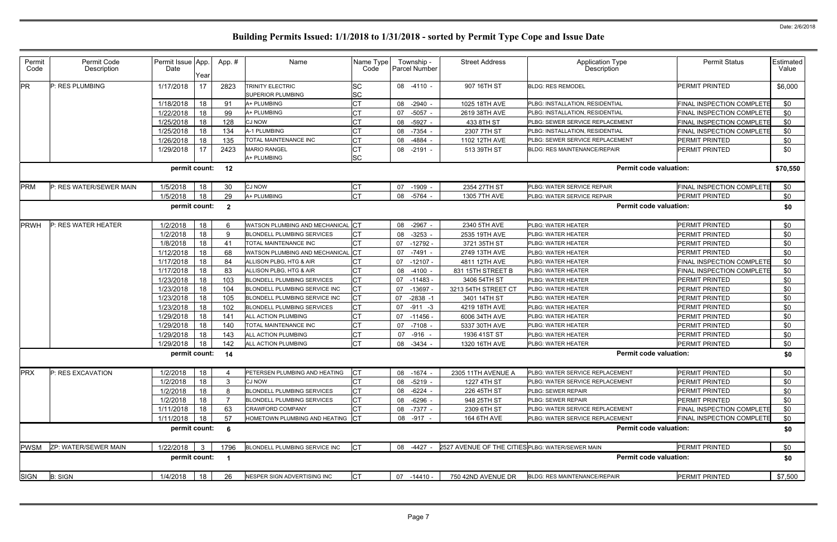| Permit<br>Code | Permit Code<br>Description | Permit Issue App.<br>Date | Year | App.#                    | Name                                                | Name Type<br>Code      | Township -<br>Parcel Number | <b>Street Address</b>                            | <b>Application Type</b><br>Description | <b>Permit Status</b>             | Estimated<br>Value |
|----------------|----------------------------|---------------------------|------|--------------------------|-----------------------------------------------------|------------------------|-----------------------------|--------------------------------------------------|----------------------------------------|----------------------------------|--------------------|
| PR             | P: RES PLUMBING            | 1/17/2018                 | 17   | 2823                     | <b>TRINITY ELECTRIC</b><br><b>SUPERIOR PLUMBING</b> | <b>SC</b><br><b>SC</b> | 08 -4110 -                  | 907 16TH ST                                      | <b>BLDG: RES REMODEL</b>               | <b>PERMIT PRINTED</b>            | \$6,000            |
|                |                            | 1/18/2018                 | 18   | 91                       | A+ PLUMBING                                         | <b>CT</b>              | 08 -2940                    | 1025 18TH AVE                                    | PLBG: INSTALLATION, RESIDENTIAL        | <b>FINAL INSPECTION COMPLETE</b> | \$0                |
|                |                            | 1/22/2018                 | 18   | 99                       | A+ PLUMBING                                         |                        | $-5057$<br>07               | 2619 38TH AVE                                    | PLBG: INSTALLATION, RESIDENTIAL        | <b>FINAL INSPECTION COMPLETE</b> | \$0                |
|                |                            | 1/25/2018                 | 18   | 128                      | <b>CJ NOW</b>                                       | <b>CT</b>              | 08 -5927                    | 433 8TH ST                                       | <b>PLBG: SEWER SERVICE REPLACEMENT</b> | <b>FINAL INSPECTION COMPLETE</b> | \$0                |
|                |                            | 1/25/2018                 | 18   | 134                      | A-1 PLUMBING                                        | СT                     | 08 -7354                    | 2307 7TH ST                                      | PLBG: INSTALLATION, RESIDENTIAL        | <b>FINAL INSPECTION COMPLETE</b> | \$0                |
|                |                            | 1/26/2018                 | 18   | 135                      | TOTAL MAINTENANCE INC                               | <b>CT</b>              | -4884<br>08                 | 1102 12TH AVE                                    | PLBG: SEWER SERVICE REPLACEMENT        | <b>PERMIT PRINTED</b>            | \$0                |
|                |                            | 1/29/2018                 | 17   | 2423                     | <b>MARIO RANGEL</b>                                 | СT                     | $-2191$<br>08               | 513 39TH ST                                      | <b>BLDG: RES MAINTENANCE/REPAIR</b>    | PERMIT PRINTED                   | \$0                |
|                |                            |                           |      |                          | A+ PLUMBING                                         | <b>SC</b>              |                             |                                                  |                                        |                                  |                    |
|                |                            | permit count:             |      | 12                       |                                                     |                        |                             |                                                  | <b>Permit code valuation:</b>          |                                  | \$70,550           |
| <b>PRM</b>     | P: RES WATER/SEWER MAIN    | 1/5/2018                  | 18   | 30                       | <b>CJ NOW</b>                                       | CT                     | 07 -1909                    | 2354 27TH ST                                     | PLBG: WATER SERVICE REPAIR             | <b>FINAL INSPECTION COMPLETE</b> | \$0                |
|                |                            | 1/5/2018                  | 18   | 29                       | A+ PLUMBING                                         | <b>CT</b>              | 08 -5764                    | 1305 7TH AVE                                     | PLBG: WATER SERVICE REPAIR             | <b>PERMIT PRINTED</b>            | \$0                |
|                |                            | permit count:             |      | $\overline{\mathbf{2}}$  |                                                     |                        |                             |                                                  | <b>Permit code valuation:</b>          |                                  | \$0                |
| PRWH           | P: RES WATER HEATER        | 1/2/2018                  | 18   |                          | WATSON PLUMBING AND MECHANICAL                      | Iст                    | 08 -2967                    | 2340 5TH AVE                                     | PLBG: WATER HEATER                     | <b>PERMIT PRINTED</b>            | \$0                |
|                |                            | 1/2/2018                  | 18   | -9                       | <b>BLONDELL PLUMBING SERVICES</b>                   |                        | $-3253$<br>08               | 2535 19TH AVE                                    | PLBG: WATER HEATER                     | <b>PERMIT PRINTED</b>            | \$0                |
|                |                            | 1/8/2018                  | 18   | 41                       | <b>TOTAL MAINTENANCE INC</b>                        | <b>CT</b>              | $-12792$<br>07              | 3721 35TH ST                                     | PLBG: WATER HEATER                     | PERMIT PRINTED                   | \$0                |
|                |                            | 1/12/2018                 | 18   | 68                       | WATSON PLUMBING AND MECHANICAL                      | <b>CT</b>              | 07<br>-7491                 | 2749 13TH AVE                                    | PLBG: WATER HEATER                     | PERMIT PRINTED                   | \$0                |
|                |                            | 1/17/2018                 | 18   | 84                       | ALLISON PLBG, HTG & AIR                             | CT                     | 07 -12107                   | 4811 12TH AVE                                    | PLBG: WATER HEATER                     | <b>FINAL INSPECTION COMPLETE</b> | \$0                |
|                |                            | 1/17/2018                 | 18   | 83                       | ALLISON PLBG, HTG & AIR                             | <b>CT</b>              | -4100<br>08                 | 831 15TH STREET B                                | PLBG: WATER HEATER                     | <b>FINAL INSPECTION COMPLETE</b> | \$0                |
|                |                            | 1/23/2018                 | 18   | 103                      | <b>BLONDELL PLUMBING SERVICES</b>                   | CT                     | 07 -11483                   | 3406 54TH ST                                     | <b>PLBG: WATER HEATER</b>              | PERMIT PRINTED                   | \$0                |
|                |                            | 1/23/2018                 | 18   | 104                      | BLONDELL PLUMBING SERVICE INC                       | <b>CT</b>              | -13697<br>07                | 3213 54TH STREET CT                              | PLBG: WATER HEATER                     | <b>PERMIT PRINTED</b>            | \$0                |
|                |                            | 1/23/2018                 | 18   | 105                      | BLONDELL PLUMBING SERVICE INC                       | СT                     | 07<br>-2838 -1              | 3401 14TH ST                                     | PLBG: WATER HEATER                     | PERMIT PRINTED                   | \$0                |
|                |                            | 1/23/2018                 | 18   | 102                      | <b>BLONDELL PLUMBING SERVICES</b>                   | <b>CT</b>              | 07<br>$-911 - 3$            | 4219 18TH AVE                                    | PLBG: WATER HEATER                     | PERMIT PRINTED                   | \$0                |
|                |                            | 1/29/2018                 | 18   | 141                      | ALL ACTION PLUMBING                                 | СT                     | 07 -11456 -                 | 6006 34TH AVE                                    | PLBG: WATER HEATER                     | <b>PERMIT PRINTED</b>            | \$0                |
|                |                            | 1/29/2018                 | 18   | 140                      | TOTAL MAINTENANCE INC                               |                        | $-7108$<br>07               | 5337 30TH AVE                                    | PLBG: WATER HEATER                     | PERMIT PRINTED                   | \$0                |
|                |                            | 1/29/2018                 | 18   | 143                      | ALL ACTION PLUMBING                                 | CT                     | 07<br>-916                  | 1936 41ST ST                                     | PLBG: WATER HEATER                     | PERMIT PRINTED                   | \$0                |
|                |                            | 1/29/2018                 | 18   | 142                      | <b>ALL ACTION PLUMBING</b>                          | <b>CT</b>              | 08 -3434                    | 1320 16TH AVE                                    | PLBG: WATER HEATER                     | <b>PERMIT PRINTED</b>            | \$0                |
|                |                            | permit count:             |      | 14                       |                                                     |                        |                             |                                                  | <b>Permit code valuation:</b>          |                                  | \$0                |
| <b>PRX</b>     | P: RES EXCAVATION          | 1/2/2018                  | 18   |                          | PETERSEN PLUMBING AND HEATING                       | IСТ                    | 08 -1674                    | 2305 11TH AVENUE A                               | PLBG: WATER SERVICE REPLACEMENT        | PERMIT PRINTED                   | \$0                |
|                |                            | 1/2/2018                  | 18   | 3                        | <b>CJ NOW</b>                                       | <b>CT</b>              | 08 -5219                    | 1227 4TH ST                                      | PLBG: WATER SERVICE REPLACEMENT        | <b>PERMIT PRINTED</b>            | \$0                |
|                |                            | 1/2/2018                  | 18   | 8                        | <b>BLONDELL PLUMBING SERVICES</b>                   | <b>CT</b>              | 08 - 6224                   | 226 45TH ST                                      | <b>PLBG: SEWER REPAIR</b>              | <b>PERMIT PRINTED</b>            | \$0                |
|                |                            | 1/2/2018                  | 18   |                          | <b>BLONDELL PLUMBING SERVICES</b>                   | <b>CT</b>              | 08 -6296                    | 948 25TH ST                                      | PLBG: SEWER REPAIR                     | PERMIT PRINTED                   | \$0                |
|                |                            | 1/11/2018                 | 18   | 63                       | <b>CRAWFORD COMPANY</b>                             | CT                     | 08 -7377                    | 2309 6TH ST                                      | <b>PLBG: WATER SERVICE REPLACEMENT</b> | FINAL INSPECTION COMPLETE        | \$0                |
|                |                            | 1/11/2018                 | 18   | 57                       | HOMETOWN PLUMBING AND HEATING CT                    |                        | 08 -917                     | 164 6TH AVE                                      | PLBG: WATER SERVICE REPLACEMENT        | <b>FINAL INSPECTION COMPLETE</b> | \$0                |
|                |                            | permit count:             |      | $\overline{\phantom{0}}$ |                                                     |                        |                             |                                                  | <b>Permit code valuation:</b>          |                                  | \$0                |
| <b>PWSM</b>    | ZP: WATER/SEWER MAIN       | 1/22/2018                 | -3   | 1796                     | BLONDELL PLUMBING SERVICE INC                       | <b>CT</b>              | 08 -4427 -                  | 2527 AVENUE OF THE CITIES PLBG: WATER/SEWER MAIN |                                        | PERMIT PRINTED                   | \$0                |
|                |                            | permit count:             |      | $\overline{\phantom{0}}$ |                                                     |                        |                             |                                                  | <b>Permit code valuation:</b>          |                                  | \$0                |
| <b>SIGN</b>    | <b>B: SIGN</b>             | 1/4/2018                  | 18   | 26                       | NESPER SIGN ADVERTISING INC                         | <b>CT</b>              | 07 -14410 -                 | 750 42ND AVENUE DR                               | <b>BLDG: RES MAINTENANCE/REPAIR</b>    | <b>PERMIT PRINTED</b>            | \$7,500            |